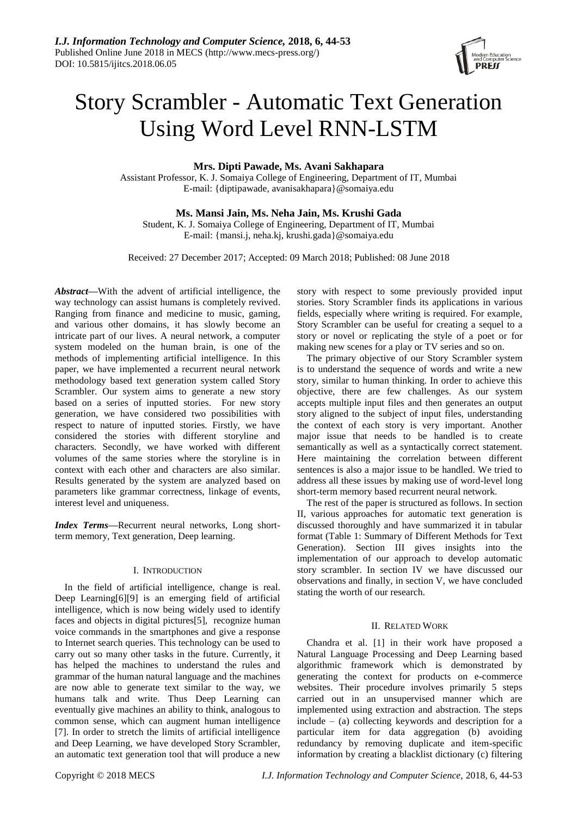

# Story Scrambler - Automatic Text Generation Using Word Level RNN-LSTM

**Mrs. Dipti Pawade, Ms. Avani Sakhapara**

Assistant Professor, K. J. Somaiya College of Engineering, Department of IT, Mumbai E-mail: {diptipawade, avanisakhapara}@somaiya.edu

# **Ms. Mansi Jain, Ms. Neha Jain, Ms. Krushi Gada**

Student, K. J. Somaiya College of Engineering, Department of IT, Mumbai E-mail: {mansi.j, neha.kj, krushi.gada}@somaiya.edu

Received: 27 December 2017; Accepted: 09 March 2018; Published: 08 June 2018

*Abstract***—**With the advent of artificial intelligence, the way technology can assist humans is completely revived. Ranging from finance and medicine to music, gaming, and various other domains, it has slowly become an intricate part of our lives. A neural network, a computer system modeled on the human brain, is one of the methods of implementing artificial intelligence. In this paper, we have implemented a recurrent neural network methodology based text generation system called Story Scrambler. Our system aims to generate a new story based on a series of inputted stories. For new story generation, we have considered two possibilities with respect to nature of inputted stories. Firstly, we have considered the stories with different storyline and characters. Secondly, we have worked with different volumes of the same stories where the storyline is in context with each other and characters are also similar. Results generated by the system are analyzed based on parameters like grammar correctness, linkage of events, interest level and uniqueness.

*Index Terms***—**Recurrent neural networks, Long shortterm memory, Text generation, Deep learning.

## I. INTRODUCTION

In the field of artificial intelligence, change is real. Deep Learning[6][9] is an emerging field of artificial intelligence, which is now being widely used to identify faces and objects in digital pictures[5], recognize human voice commands in the smartphones and give a response to Internet search queries. This technology can be used to carry out so many other tasks in the future. Currently, it has helped the machines to understand the rules and grammar of the human natural language and the machines are now able to generate text similar to the way, we humans talk and write. Thus Deep Learning can eventually give machines an ability to think, analogous to common sense, which can augment human intelligence [7]. In order to stretch the limits of artificial intelligence and Deep Learning, we have developed Story Scrambler, an automatic text generation tool that will produce a new

story with respect to some previously provided input stories. Story Scrambler finds its applications in various fields, especially where writing is required. For example, Story Scrambler can be useful for creating a sequel to a story or novel or replicating the style of a poet or for making new scenes for a play or TV series and so on.

The primary objective of our Story Scrambler system is to understand the sequence of words and write a new story, similar to human thinking. In order to achieve this objective, there are few challenges. As our system accepts multiple input files and then generates an output story aligned to the subject of input files, understanding the context of each story is very important. Another major issue that needs to be handled is to create semantically as well as a syntactically correct statement. Here maintaining the correlation between different sentences is also a major issue to be handled. We tried to address all these issues by making use of word-level long short-term memory based recurrent neural network.

The rest of the paper is structured as follows. In section II, various approaches for automatic text generation is discussed thoroughly and have summarized it in tabular format (Table 1: Summary of Different Methods for Text Generation). Section III gives insights into the implementation of our approach to develop automatic story scrambler. In section IV we have discussed our observations and finally, in section V, we have concluded stating the worth of our research.

## II. RELATED WORK

Chandra et al. [1] in their work have proposed a Natural Language Processing and Deep Learning based algorithmic framework which is demonstrated by generating the context for products on e-commerce websites. Their procedure involves primarily 5 steps carried out in an unsupervised manner which are implemented using extraction and abstraction. The steps include – (a) collecting keywords and description for a particular item for data aggregation (b) avoiding redundancy by removing duplicate and item-specific information by creating a blacklist dictionary (c) filtering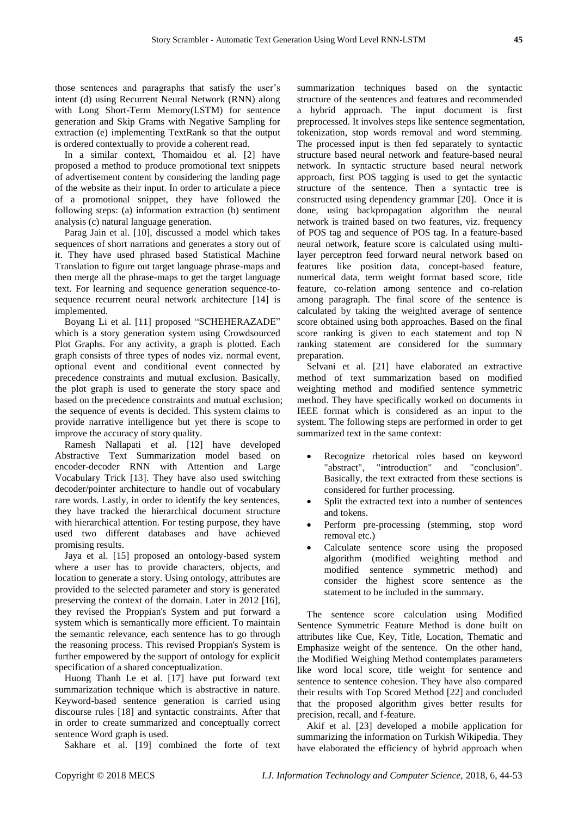those sentences and paragraphs that satisfy the user's intent (d) using Recurrent Neural Network (RNN) along with Long Short-Term Memory(LSTM) for sentence generation and Skip Grams with Negative Sampling for extraction (e) implementing TextRank so that the output is ordered contextually to provide a coherent read.

In a similar context, Thomaidou et al. [2] have proposed a method to produce promotional text snippets of advertisement content by considering the landing page of the website as their input. In order to articulate a piece of a promotional snippet, they have followed the following steps: (a) information extraction (b) sentiment analysis (c) natural language generation.

Parag Jain et al. [10], discussed a model which takes sequences of short narrations and generates a story out of it. They have used phrased based Statistical Machine Translation to figure out target language phrase-maps and then merge all the phrase-maps to get the target language text. For learning and sequence generation sequence-tosequence recurrent neural network architecture [14] is implemented.

Boyang Li et al. [11] proposed "SCHEHERAZADE" which is a story generation system using Crowdsourced Plot Graphs. For any activity, a graph is plotted. Each graph consists of three types of nodes viz. normal event, optional event and conditional event connected by precedence constraints and mutual exclusion. Basically, the plot graph is used to generate the story space and based on the precedence constraints and mutual exclusion; the sequence of events is decided. This system claims to provide narrative intelligence but yet there is scope to improve the accuracy of story quality.

Ramesh Nallapati et al. [12] have developed Abstractive Text Summarization model based on encoder-decoder RNN with Attention and Large Vocabulary Trick [13]. They have also used switching decoder/pointer architecture to handle out of vocabulary rare words. Lastly, in order to identify the key sentences, they have tracked the hierarchical document structure with hierarchical attention. For testing purpose, they have used two different databases and have achieved promising results.

Jaya et al. [15] proposed an ontology-based system where a user has to provide characters, objects, and location to generate a story. Using ontology, attributes are provided to the selected parameter and story is generated preserving the context of the domain. Later in 2012 [16], they revised the Proppian's System and put forward a system which is semantically more efficient. To maintain the semantic relevance, each sentence has to go through the reasoning process. This revised Proppian's System is further empowered by the support of ontology for explicit specification of a shared conceptualization.

Huong Thanh Le et al. [17] have put forward text summarization technique which is abstractive in nature. Keyword-based sentence generation is carried using discourse rules [18] and syntactic constraints. After that in order to create summarized and conceptually correct sentence Word graph is used.

Sakhare et al. [19] combined the forte of text

summarization techniques based on the syntactic structure of the sentences and features and recommended a hybrid approach. The input document is first preprocessed. It involves steps like sentence segmentation, tokenization, stop words removal and word stemming. The processed input is then fed separately to syntactic structure based neural network and feature-based neural network. In syntactic structure based neural network approach, first POS tagging is used to get the syntactic structure of the sentence. Then a syntactic tree is constructed using dependency grammar [20]. Once it is done, using backpropagation algorithm the neural network is trained based on two features, viz. frequency of POS tag and sequence of POS tag. In a feature-based neural network, feature score is calculated using multilayer perceptron feed forward neural network based on features like position data, concept-based feature, numerical data, term weight format based score, title feature, co-relation among sentence and co-relation among paragraph. The final score of the sentence is calculated by taking the weighted average of sentence score obtained using both approaches. Based on the final score ranking is given to each statement and top N ranking statement are considered for the summary preparation.

Selvani et al. [21] have elaborated an extractive method of text summarization based on modified weighting method and modified sentence symmetric method. They have specifically worked on documents in IEEE format which is considered as an input to the system. The following steps are performed in order to get summarized text in the same context:

- Recognize rhetorical roles based on keyword "abstract", "introduction" and "conclusion". Basically, the text extracted from these sections is considered for further processing.
- Split the extracted text into a number of sentences and tokens.
- Perform pre-processing (stemming, stop word removal etc.)
- Calculate sentence score using the proposed algorithm (modified weighting method and modified sentence symmetric method) and consider the highest score sentence as the statement to be included in the summary.

The sentence score calculation using Modified Sentence Symmetric Feature Method is done built on attributes like Cue, Key, Title, Location, Thematic and Emphasize weight of the sentence. On the other hand, the Modified Weighing Method contemplates parameters like word local score, title weight for sentence and sentence to sentence cohesion. They have also compared their results with Top Scored Method [22] and concluded that the proposed algorithm gives better results for precision, recall, and f-feature.

Akif et al. [23] developed a mobile application for summarizing the information on Turkish Wikipedia. They have elaborated the efficiency of hybrid approach when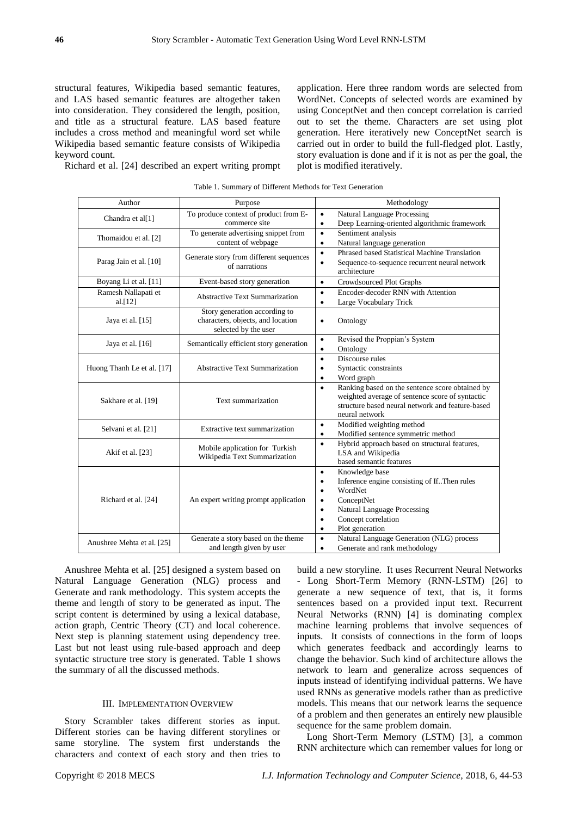structural features, Wikipedia based semantic features, and LAS based semantic features are altogether taken into consideration. They considered the length, position, and title as a structural feature. LAS based feature includes a cross method and meaningful word set while Wikipedia based semantic feature consists of Wikipedia keyword count.

application. Here three random words are selected from WordNet. Concepts of selected words are examined by using ConceptNet and then concept correlation is carried out to set the theme. Characters are set using plot generation. Here iteratively new ConceptNet search is carried out in order to build the full-fledged plot. Lastly, story evaluation is done and if it is not as per the goal, the plot is modified iteratively.

Richard et al. [24] described an expert writing prompt

| Author                            | Purpose                                                                                    | Methodology                                                                                                                                                                                                                                                 |
|-----------------------------------|--------------------------------------------------------------------------------------------|-------------------------------------------------------------------------------------------------------------------------------------------------------------------------------------------------------------------------------------------------------------|
| Chandra et al[1]                  | To produce context of product from E-<br>commerce site                                     | <b>Natural Language Processing</b><br>$\bullet$<br>Deep Learning-oriented algorithmic framework<br>$\bullet$                                                                                                                                                |
| Thomaidou et al. [2]              | To generate advertising snippet from<br>content of webpage                                 | Sentiment analysis<br>$\bullet$<br>Natural language generation<br>$\bullet$                                                                                                                                                                                 |
| Parag Jain et al. [10]            | Generate story from different sequences<br>of narrations                                   | Phrased based Statistical Machine Translation<br>$\bullet$<br>Sequence-to-sequence recurrent neural network<br>$\bullet$<br>architecture                                                                                                                    |
| Boyang Li et al. [11]             | Event-based story generation                                                               | Crowdsourced Plot Graphs<br>$\bullet$                                                                                                                                                                                                                       |
| Ramesh Nallapati et<br>al. $[12]$ | <b>Abstractive Text Summarization</b>                                                      | Encoder-decoder RNN with Attention<br>$\bullet$<br>Large Vocabulary Trick<br>$\bullet$                                                                                                                                                                      |
| Jaya et al. [15]                  | Story generation according to<br>characters, objects, and location<br>selected by the user | Ontology<br>$\bullet$                                                                                                                                                                                                                                       |
| Jaya et al. [16]                  | Semantically efficient story generation                                                    | Revised the Proppian's System<br>$\bullet$<br>Ontology<br>$\bullet$                                                                                                                                                                                         |
| Huong Thanh Le et al. [17]        | <b>Abstractive Text Summarization</b>                                                      | Discourse rules<br>$\bullet$<br>Syntactic constraints<br>$\bullet$<br>Word graph<br>$\bullet$                                                                                                                                                               |
| Sakhare et al. [19]               | Text summarization                                                                         | Ranking based on the sentence score obtained by<br>$\bullet$<br>weighted average of sentence score of syntactic<br>structure based neural network and feature-based<br>neural network                                                                       |
| Selvani et al. [21]               | Extractive text summarization                                                              | Modified weighting method<br>$\bullet$<br>Modified sentence symmetric method<br>$\bullet$                                                                                                                                                                   |
| Akif et al. [23]                  | Mobile application for Turkish<br>Wikipedia Text Summarization                             | Hybrid approach based on structural features,<br>$\bullet$<br>LSA and Wikipedia<br>based semantic features                                                                                                                                                  |
| Richard et al. [24]               | An expert writing prompt application                                                       | Knowledge base<br>$\bullet$<br>Inference engine consisting of If. Then rules<br>$\bullet$<br>WordNet<br>$\bullet$<br>ConceptNet<br>٠<br><b>Natural Language Processing</b><br>$\bullet$<br>Concept correlation<br>$\bullet$<br>Plot generation<br>$\bullet$ |
| Anushree Mehta et al. [25]        | Generate a story based on the theme<br>and length given by user                            | Natural Language Generation (NLG) process<br>$\bullet$<br>Generate and rank methodology<br>$\bullet$                                                                                                                                                        |

Anushree Mehta et al. [25] designed a system based on Natural Language Generation (NLG) process and Generate and rank methodology. This system accepts the theme and length of story to be generated as input. The script content is determined by using a lexical database, action graph, Centric Theory (CT) and local coherence. Next step is planning statement using dependency tree. Last but not least using rule-based approach and deep syntactic structure tree story is generated. Table 1 shows the summary of all the discussed methods.

## III. IMPLEMENTATION OVERVIEW

Story Scrambler takes different stories as input. Different stories can be having different storylines or same storyline. The system first understands the characters and context of each story and then tries to build a new storyline. It uses Recurrent Neural Networks - Long Short-Term Memory (RNN-LSTM) [26] to generate a new sequence of text, that is, it forms sentences based on a provided input text. Recurrent Neural Networks (RNN) [4] is dominating complex machine learning problems that involve sequences of inputs. It consists of connections in the form of loops which generates feedback and accordingly learns to change the behavior. Such kind of architecture allows the network to learn and generalize across sequences of inputs instead of identifying individual patterns. We have used RNNs as generative models rather than as predictive models. This means that our network learns the sequence of a problem and then generates an entirely new plausible sequence for the same problem domain.

Long Short-Term Memory (LSTM) [3], a common RNN architecture which can remember values for long or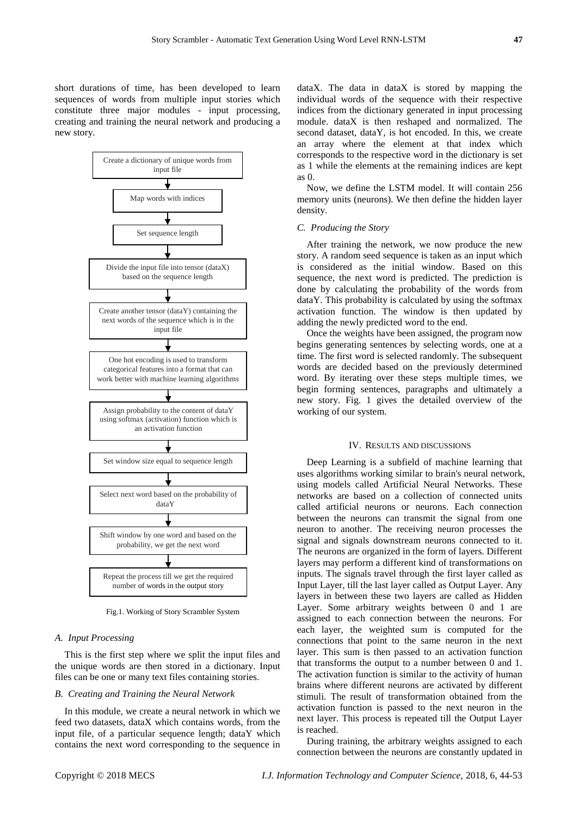short durations of time, has been developed to learn sequences of words from multiple input stories which constitute three major modules - input processing, creating and training the neural network and producing a new story.



Fig.1. Working of Story Scrambler System

#### *A. Input Processing*

This is the first step where we split the input files and the unique words are then stored in a dictionary. Input files can be one or many text files containing stories.

#### *B. Creating and Training the Neural Network*

In this module, we create a neural network in which we feed two datasets, dataX which contains words, from the input file, of a particular sequence length; dataY which contains the next word corresponding to the sequence in dataX. The data in dataX is stored by mapping the individual words of the sequence with their respective indices from the dictionary generated in input processing module. dataX is then reshaped and normalized. The second dataset, dataY, is hot encoded. In this, we create an array where the element at that index which corresponds to the respective word in the dictionary is set as 1 while the elements at the remaining indices are kept as 0.

Now, we define the LSTM model. It will contain 256 memory units (neurons). We then define the hidden layer density.

## *C. Producing the Story*

After training the network, we now produce the new story. A random seed sequence is taken as an input which is considered as the initial window. Based on this sequence, the next word is predicted. The prediction is done by calculating the probability of the words from dataY. This probability is calculated by using the softmax activation function. The window is then updated by adding the newly predicted word to the end.

Once the weights have been assigned, the program now begins generating sentences by selecting words, one at a time. The first word is selected randomly. The subsequent words are decided based on the previously determined word. By iterating over these steps multiple times, we begin forming sentences, paragraphs and ultimately a new story. Fig. 1 gives the detailed overview of the working of our system.

#### IV. RESULTS AND DISCUSSIONS

Deep Learning is a subfield of machine learning that uses algorithms working similar to brain's neural network, using models called Artificial Neural Networks. These networks are based on a collection of connected units called artificial neurons or neurons. Each connection between the neurons can transmit the signal from one neuron to another. The receiving neuron processes the signal and signals downstream neurons connected to it. The neurons are organized in the form of layers. Different layers may perform a different kind of transformations on inputs. The signals travel through the first layer called as Input Layer, till the last layer called as Output Layer. Any layers in between these two layers are called as Hidden Layer. Some arbitrary weights between 0 and 1 are assigned to each connection between the neurons. For each layer, the weighted sum is computed for the connections that point to the same neuron in the next layer. This sum is then passed to an activation function that transforms the output to a number between 0 and 1. The activation function is similar to the activity of human brains where different neurons are activated by different stimuli. The result of transformation obtained from the activation function is passed to the next neuron in the next layer. This process is repeated till the Output Layer is reached.

During training, the arbitrary weights assigned to each connection between the neurons are constantly updated in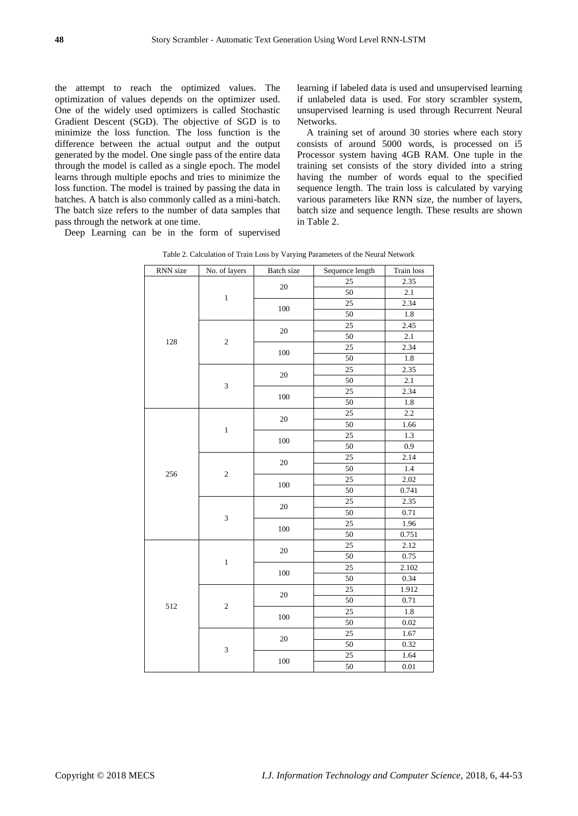the attempt to reach the optimized values. The optimization of values depends on the optimizer used. One of the widely used optimizers is called Stochastic Gradient Descent (SGD). The objective of SGD is to minimize the loss function. The loss function is the difference between the actual output and the output generated by the model. One single pass of the entire data through the model is called as a single epoch. The model learns through multiple epochs and tries to minimize the loss function. The model is trained by passing the data in batches. A batch is also commonly called as a mini-batch. The batch size refers to the number of data samples that pass through the network at one time.

Deep Learning can be in the form of supervised

learning if labeled data is used and unsupervised learning if unlabeled data is used. For story scrambler system, unsupervised learning is used through Recurrent Neural Networks.

A training set of around 30 stories where each story consists of around 5000 words, is processed on i5 Processor system having 4GB RAM. One tuple in the training set consists of the story divided into a string having the number of words equal to the specified sequence length. The train loss is calculated by varying various parameters like RNN size, the number of layers, batch size and sequence length. These results are shown in Table 2.

| RNN size | No. of layers             | Batch size | Sequence length | Train loss       |
|----------|---------------------------|------------|-----------------|------------------|
|          |                           | 20         | $\overline{25}$ | 2.35             |
|          | $\,1$                     |            | 50              | 2.1              |
|          |                           | 100        | $\overline{25}$ | 2.34             |
|          |                           |            | $\overline{50}$ | 1.8              |
|          |                           | 20         | 25              | 2.45             |
| 128      | $\sqrt{2}$                |            | $\overline{50}$ | $\overline{2.1}$ |
|          |                           | 100        | $\overline{25}$ | 2.34             |
|          |                           |            | 50              | $1.8\,$          |
|          |                           |            | $\overline{25}$ | 2.35             |
|          | 3                         | $20\,$     | 50              | $\overline{2.1}$ |
|          |                           | 100        | 25              | 2.34             |
|          |                           |            | 50              | $1.8\,$          |
|          |                           | 20         | 25              | 2.2              |
|          | $\,1$                     |            | 50              | 1.66             |
|          |                           | 100        | 25              | 1.3              |
|          |                           |            | 50              | 0.9              |
|          |                           |            | 25              | 2.14             |
| 256      | $\sqrt{2}$                | $20\,$     | 50              | $1.4\,$          |
|          |                           | 100        | 25              | 2.02             |
|          |                           |            | 50              | 0.741            |
|          | $\ensuremath{\mathbf{3}}$ | $20\,$     | 25              | 2.35             |
|          |                           |            | 50              | 0.71             |
|          |                           | 100        | 25              | 1.96             |
|          |                           |            | 50              | 0.751            |
|          |                           | 20         | 25              | 2.12             |
|          | $\,1$                     |            | 50              | 0.75             |
|          |                           |            | 25              | 2.102            |
|          |                           | 100        | 50              | 0.34             |
| 512      | $\sqrt{2}$                |            | 25              | 1.912            |
|          |                           | $20\,$     | 50              | 0.71             |
|          |                           |            | 25              | 1.8              |
|          |                           | 100        | 50              | 0.02             |
|          | $\overline{3}$            | 20         | $\overline{25}$ | 1.67             |
|          |                           |            | 50              | 0.32             |
|          |                           | 100        | 25              | 1.64             |
|          |                           |            | $\overline{50}$ | 0.01             |

Table 2. Calculation of Train Loss by Varying Parameters of the Neural Network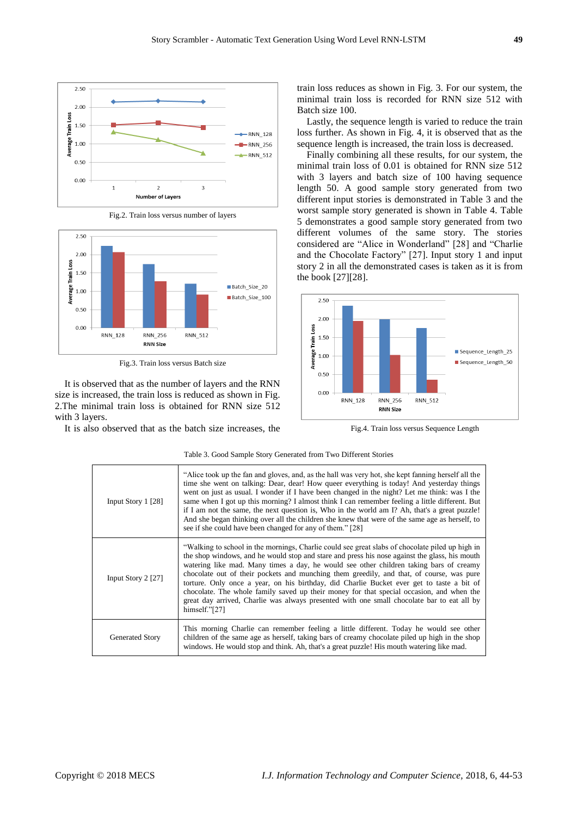

Fig.2. Train loss versus number of layers



Fig.3. Train loss versus Batch size

It is observed that as the number of layers and the RNN size is increased, the train loss is reduced as shown in Fig. 2.The minimal train loss is obtained for RNN size 512 with 3 layers.

It is also observed that as the batch size increases, the

train loss reduces as shown in Fig. 3. For our system, the minimal train loss is recorded for RNN size 512 with Batch size 100.

Lastly, the sequence length is varied to reduce the train loss further. As shown in Fig. 4, it is observed that as the sequence length is increased, the train loss is decreased.

Finally combining all these results, for our system, the minimal train loss of 0.01 is obtained for RNN size 512 with 3 layers and batch size of 100 having sequence length 50. A good sample story generated from two different input stories is demonstrated in Table 3 and the worst sample story generated is shown in Table 4. Table 5 demonstrates a good sample story generated from two different volumes of the same story. The stories considered are "Alice in Wonderland" [28] and "Charlie and the Chocolate Factory" [27]. Input story 1 and input story 2 in all the demonstrated cases is taken as it is from the book [27][28].



Fig.4. Train loss versus Sequence Length

| Input Story 1 [28]     | "Alice took up the fan and gloves, and, as the hall was very hot, she kept fanning herself all the<br>time she went on talking: Dear, dear! How queer everything is today! And yesterday things<br>went on just as usual. I wonder if I have been changed in the night? Let me think: was I the<br>same when I got up this morning? I almost think I can remember feeling a little different. But<br>if I am not the same, the next question is, Who in the world am I? Ah, that's a great puzzle!<br>And she began thinking over all the children she knew that were of the same age as herself, to<br>see if she could have been changed for any of them." [28]                                 |
|------------------------|---------------------------------------------------------------------------------------------------------------------------------------------------------------------------------------------------------------------------------------------------------------------------------------------------------------------------------------------------------------------------------------------------------------------------------------------------------------------------------------------------------------------------------------------------------------------------------------------------------------------------------------------------------------------------------------------------|
| Input Story 2 [27]     | "Walking to school in the mornings, Charlie could see great slabs of chocolate piled up high in<br>the shop windows, and he would stop and stare and press his nose against the glass, his mouth<br>watering like mad. Many times a day, he would see other children taking bars of creamy<br>chocolate out of their pockets and munching them greedily, and that, of course, was pure<br>torture. Only once a year, on his birthday, did Charlie Bucket ever get to taste a bit of<br>chocolate. The whole family saved up their money for that special occasion, and when the<br>great day arrived, Charlie was always presented with one small chocolate bar to eat all by<br>himself." $[27]$ |
| <b>Generated Story</b> | This morning Charlie can remember feeling a little different. Today he would see other<br>children of the same age as herself, taking bars of creamy chocolate piled up high in the shop<br>windows. He would stop and think. Ah, that's a great puzzle! His mouth watering like mad.                                                                                                                                                                                                                                                                                                                                                                                                             |

Table 3. Good Sample Story Generated from Two Different Stories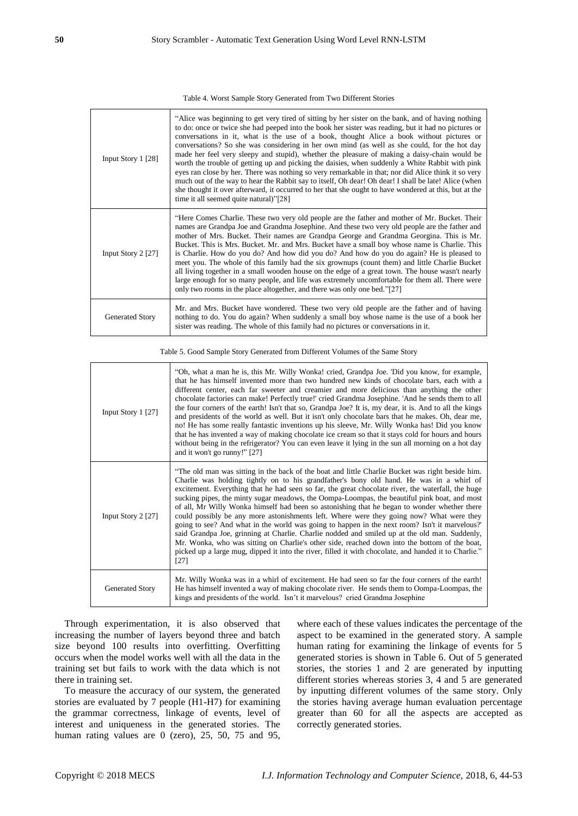#### Table 4. Worst Sample Story Generated from Two Different Stories

| Input Story 1 [28]     | "Alice was beginning to get very tired of sitting by her sister on the bank, and of having nothing<br>to do: once or twice she had peeped into the book her sister was reading, but it had no pictures or<br>conversations in it, what is the use of a book, thought Alice a book without pictures or<br>conversations? So she was considering in her own mind (as well as she could, for the hot day<br>made her feel very sleepy and stupid), whether the pleasure of making a daisy-chain would be<br>worth the trouble of getting up and picking the daisies, when suddenly a White Rabbit with pink<br>eyes ran close by her. There was nothing so very remarkable in that; nor did Alice think it so very<br>much out of the way to hear the Rabbit say to itself, Oh dear! Oh dear! I shall be late! Alice (when<br>she thought it over afterward, it occurred to her that she ought to have wondered at this, but at the<br>time it all seemed quite natural)"[28] |
|------------------------|----------------------------------------------------------------------------------------------------------------------------------------------------------------------------------------------------------------------------------------------------------------------------------------------------------------------------------------------------------------------------------------------------------------------------------------------------------------------------------------------------------------------------------------------------------------------------------------------------------------------------------------------------------------------------------------------------------------------------------------------------------------------------------------------------------------------------------------------------------------------------------------------------------------------------------------------------------------------------|
| Input Story 2 [27]     | "Here Comes Charlie. These two very old people are the father and mother of Mr. Bucket. Their<br>names are Grandpa Joe and Grandma Josephine. And these two very old people are the father and<br>mother of Mrs. Bucket. Their names are Grandpa George and Grandma Georgina. This is Mr.<br>Bucket. This is Mrs. Bucket. Mr. and Mrs. Bucket have a small boy whose name is Charlie. This<br>is Charlie. How do you do? And how did you do? And how do you do again? He is pleased to<br>meet you. The whole of this family had the six grownups (count them) and little Charlie Bucket<br>all living together in a small wooden house on the edge of a great town. The house wasn't nearly<br>large enough for so many people, and life was extremely uncomfortable for them all. There were<br>only two rooms in the place altogether, and there was only one bed."[27]                                                                                                 |
| <b>Generated Story</b> | Mr. and Mrs. Bucket have wondered. These two very old people are the father and of having<br>nothing to do. You do again? When suddenly a small boy whose name is the use of a book her<br>sister was reading. The whole of this family had no pictures or conversations in it.                                                                                                                                                                                                                                                                                                                                                                                                                                                                                                                                                                                                                                                                                            |

Table 5. Good Sample Story Generated from Different Volumes of the Same Story

| Input Story 1 [27]     | "Oh, what a man he is, this Mr. Willy Wonka! cried, Grandpa Joe. 'Did you know, for example,<br>that he has himself invented more than two hundred new kinds of chocolate bars, each with a<br>different center, each far sweeter and creamier and more delicious than anything the other<br>chocolate factories can make! Perfectly true!' cried Grandma Josephine. 'And he sends them to all<br>the four corners of the earth! Isn't that so, Grandpa Joe? It is, my dear, it is. And to all the kings<br>and presidents of the world as well. But it isn't only chocolate bars that he makes. Oh, dear me,<br>no! He has some really fantastic inventions up his sleeve, Mr. Willy Wonka has! Did you know<br>that he has invented a way of making chocolate ice cream so that it stays cold for hours and hours<br>without being in the refrigerator? You can even leave it lying in the sun all morning on a hot day<br>and it won't go runny!" [27]                                                          |
|------------------------|--------------------------------------------------------------------------------------------------------------------------------------------------------------------------------------------------------------------------------------------------------------------------------------------------------------------------------------------------------------------------------------------------------------------------------------------------------------------------------------------------------------------------------------------------------------------------------------------------------------------------------------------------------------------------------------------------------------------------------------------------------------------------------------------------------------------------------------------------------------------------------------------------------------------------------------------------------------------------------------------------------------------|
| Input Story 2 [27]     | The old man was sitting in the back of the boat and little Charlie Bucket was right beside him.<br>Charlie was holding tightly on to his grandfather's bony old hand. He was in a whirl of<br>excitement. Everything that he had seen so far, the great chocolate river, the waterfall, the huge<br>sucking pipes, the minty sugar meadows, the Oompa-Loompas, the beautiful pink boat, and most<br>of all, Mr Willy Wonka himself had been so astonishing that he began to wonder whether there<br>could possibly be any more astonishments left. Where were they going now? What were they<br>going to see? And what in the world was going to happen in the next room? Isn't it marvelous?<br>said Grandpa Joe, grinning at Charlie. Charlie nodded and smiled up at the old man. Suddenly,<br>Mr. Wonka, who was sitting on Charlie's other side, reached down into the bottom of the boat,<br>picked up a large mug, dipped it into the river, filled it with chocolate, and handed it to Charlie."<br>$[27]$ |
| <b>Generated Story</b> | Mr. Willy Wonka was in a whirl of excitement. He had seen so far the four corners of the earth!<br>He has himself invented a way of making chocolate river. He sends them to Oompa-Loompas, the<br>kings and presidents of the world. Isn't it marvelous? cried Grandma Josephine                                                                                                                                                                                                                                                                                                                                                                                                                                                                                                                                                                                                                                                                                                                                  |

Through experimentation, it is also observed that increasing the number of layers beyond three and batch size beyond 100 results into overfitting. Overfitting occurs when the model works well with all the data in the training set but fails to work with the data which is not there in training set.

To measure the accuracy of our system, the generated stories are evaluated by 7 people (H1-H7) for examining the grammar correctness, linkage of events, level of interest and uniqueness in the generated stories. The human rating values are 0 (zero), 25, 50, 75 and 95,

where each of these values indicates the percentage of the aspect to be examined in the generated story. A sample human rating for examining the linkage of events for 5 generated stories is shown in Table 6. Out of 5 generated stories, the stories 1 and 2 are generated by inputting different stories whereas stories 3, 4 and 5 are generated by inputting different volumes of the same story. Only the stories having average human evaluation percentage greater than 60 for all the aspects are accepted as correctly generated stories.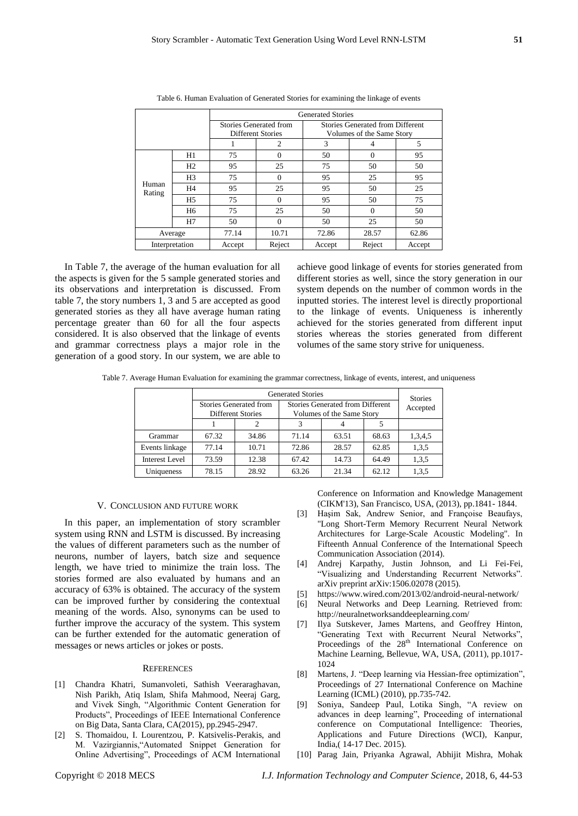|                 |                | <b>Generated Stories</b>                           |          |                                                               |          |        |  |
|-----------------|----------------|----------------------------------------------------|----------|---------------------------------------------------------------|----------|--------|--|
|                 |                | Stories Generated from<br><b>Different Stories</b> |          | Stories Generated from Different<br>Volumes of the Same Story |          |        |  |
|                 |                |                                                    | 2        | 3                                                             |          | 5      |  |
| Human<br>Rating | H1             | 75                                                 | $\Omega$ | 50                                                            | $\Omega$ | 95     |  |
|                 | H2             | 95                                                 | 25       | 75                                                            | 50       | 50     |  |
|                 | H <sub>3</sub> | 75                                                 | $\Omega$ | 95                                                            | 25       | 95     |  |
|                 | H <sub>4</sub> | 95                                                 | 25       | 95                                                            | 50       | 25     |  |
|                 | H <sub>5</sub> | 75                                                 | $\Omega$ | 95                                                            | 50       | 75     |  |
|                 | H <sub>6</sub> | 75                                                 | 25       | 50                                                            | $\Omega$ | 50     |  |
|                 | H7             | 50                                                 | $\Omega$ | 50                                                            | 25       | 50     |  |
| Average         |                | 77.14                                              | 10.71    | 72.86                                                         | 28.57    | 62.86  |  |
| Interpretation  |                | Accept                                             | Reject   | Accept                                                        | Reject   | Accept |  |

Table 6. Human Evaluation of Generated Stories for examining the linkage of events

In Table 7, the average of the human evaluation for all the aspects is given for the 5 sample generated stories and its observations and interpretation is discussed. From table 7, the story numbers 1, 3 and 5 are accepted as good generated stories as they all have average human rating percentage greater than 60 for all the four aspects considered. It is also observed that the linkage of events and grammar correctness plays a major role in the generation of a good story. In our system, we are able to achieve good linkage of events for stories generated from different stories as well, since the story generation in our system depends on the number of common words in the inputted stories. The interest level is directly proportional to the linkage of events. Uniqueness is inherently achieved for the stories generated from different input stories whereas the stories generated from different volumes of the same story strive for uniqueness.

Table 7. Average Human Evaluation for examining the grammar correctness, linkage of events, interest, and uniqueness

|                                             | <b>Generated Stories</b> |       |                                                               |       |       | <b>Stories</b> |
|---------------------------------------------|--------------------------|-------|---------------------------------------------------------------|-------|-------|----------------|
| Stories Generated from<br>Different Stories |                          |       | Stories Generated from Different<br>Volumes of the Same Story |       |       | Accepted       |
|                                             |                          |       | 3                                                             |       |       |                |
| Grammar                                     | 67.32                    | 34.86 | 71.14                                                         | 63.51 | 68.63 | 1,3,4,5        |
| Events linkage                              | 77.14                    | 10.71 | 72.86                                                         | 28.57 | 62.85 | 1.3.5          |
| <b>Interest Level</b>                       | 73.59                    | 12.38 | 67.42                                                         | 14.73 | 64.49 | 1,3,5          |
| Uniqueness                                  | 78.15                    | 28.92 | 63.26                                                         | 21.34 | 62.12 | 1,3,5          |

#### V. CONCLUSION AND FUTURE WORK

In this paper, an implementation of story scrambler system using RNN and LSTM is discussed. By increasing the values of different parameters such as the number of neurons, number of layers, batch size and sequence length, we have tried to minimize the train loss. The stories formed are also evaluated by humans and an accuracy of 63% is obtained. The accuracy of the system can be improved further by considering the contextual meaning of the words. Also, synonyms can be used to further improve the accuracy of the system. This system can be further extended for the automatic generation of messages or news articles or jokes or posts.

#### **REFERENCES**

- [1] Chandra Khatri, Sumanvoleti, Sathish Veeraraghavan, Nish Parikh, Atiq Islam, Shifa Mahmood, Neeraj Garg, and Vivek Singh, "Algorithmic Content Generation for Products", Proceedings of IEEE International Conference on Big Data, Santa Clara, CA(2015), pp.2945-2947.
- [2] S. Thomaidou, I. Lourentzou, P. Katsivelis-Perakis, and M. Vazirgiannis,"Automated Snippet Generation for Online Advertising", Proceedings of ACM International

Conference on Information and Knowledge Management (CIKM'13), San Francisco, USA, (2013), pp.1841- 1844.

- [3] Haşim Sak, Andrew Senior, and Françoise Beaufays, "Long Short-Term Memory Recurrent Neural Network Architectures for Large-Scale Acoustic Modeling". In Fifteenth Annual Conference of the International Speech Communication Association (2014).
- [4] Andrej Karpathy, Justin Johnson, and Li Fei-Fei, "Visualizing and Understanding Recurrent Networks". arXiv preprint arXiv:1506.02078 (2015).
- [5] https://www.wired.com/2013/02/android-neural-network/
- [6] Neural Networks and Deep Learning. Retrieved from: http://neuralnetworksanddeeplearning.com/
- [7] Ilya Sutskever, James Martens, and Geoffrey Hinton, "Generating Text with Recurrent Neural Networks", Proceedings of the  $28<sup>th</sup>$  International Conference on Machine Learning, Bellevue, WA, USA, (2011), pp.1017- 1024
- [8] Martens, J. "Deep learning via Hessian-free optimization", Proceedings of 27 International Conference on Machine Learning (ICML) (2010), pp.735-742.
- [9] Soniya, Sandeep Paul, Lotika Singh, "A review on advances in deep learning", Proceeding of international conference on Computational Intelligence: Theories, Applications and Future Directions (WCI), Kanpur, India,( 14-17 Dec. 2015).
- [10] Parag Jain, Priyanka Agrawal, Abhijit Mishra, Mohak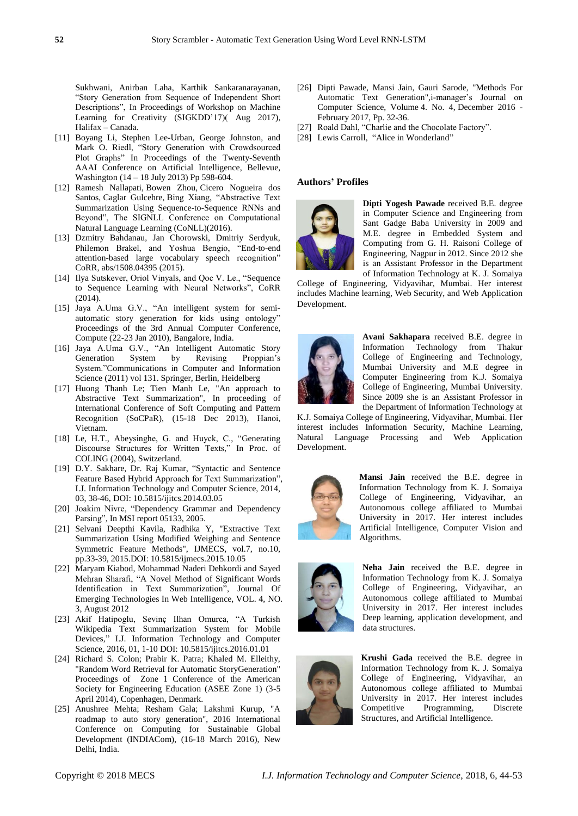Sukhwani, Anirban Laha, Karthik Sankaranarayanan, "Story Generation from Sequence of Independent Short Descriptions", In Proceedings of Workshop on Machine Learning for Creativity (SIGKDD'17)( Aug 2017), Halifax – Canada.

- [11] Boyang Li, Stephen Lee-Urban, George Johnston, and Mark O. Riedl, "Story Generation with Crowdsourced Plot Graphs" In Proceedings of the Twenty-Seventh AAAI Conference on Artificial Intelligence, Bellevue, Washington (14 – 18 July 2013) Pp 598-604.
- [12] Ramesh Nallapati, Bowen Zhou, Cicero Nogueira dos [Santos,](https://arxiv.org/find/cs/1/au:+santos_C/0/1/0/all/0/1) Caglar Gulcehre, Bing Xiang, "Abstractive Text Summarization Using Sequence-to-Sequence RNNs and Beyond", The SIGNLL Conference on Computational Natural Language Learning (CoNLL)(2016).
- [13] Dzmitry Bahdanau, Jan Chorowski, Dmitriy Serdyuk, Philemon Brakel, and Yoshua Bengio, "End-to-end attention-based large vocabulary speech recognition" CoRR, abs/1508.04395 (2015).
- [14] Ilya Sutskever, Oriol Vinyals, and Qoc V. Le., "Sequence to Sequence Learning with Neural Networks", CoRR (2014).
- [15] Jaya A.Uma G.V., "An intelligent system for semiautomatic story generation for kids using ontology" Proceedings of the 3rd Annual Computer Conference, Compute (22-23 Jan 2010), Bangalore, India.
- [16] Jaya A.Uma G.V., "An Intelligent Automatic Story Generation System by Revising Proppian's System."Communications in Computer and Information Science (2011) vol 131. Springer, Berlin, Heidelberg
- [17] Huong Thanh Le; Tien Manh Le, "An approach to Abstractive Text Summarization", In proceeding of International Conference of Soft Computing and Pattern Recognition (SoCPaR), (15-18 Dec 2013), Hanoi, Vietnam.
- [18] Le, H.T., Abeysinghe, G. and Huyck, C., "Generating Discourse Structures for Written Texts," In Proc. of COLING (2004), Switzerland.
- [19] D.Y. Sakhare, Dr. Raj Kumar, "Syntactic and Sentence Feature Based Hybrid Approach for Text Summarization", I.J. Information Technology and Computer Science, 2014, 03, 38-46, DOI: 10.5815/ijitcs.2014.03.05
- [20] Joakim Nivre, "Dependency Grammar and Dependency Parsing", In MSI report 05133, 2005.
- [21] Selvani Deepthi Kavila, Radhika Y, "Extractive Text Summarization Using Modified Weighing and Sentence Symmetric Feature Methods", IJMECS, vol.7, no.10, pp.33-39, 2015.DOI: 10.5815/ijmecs.2015.10.05
- [22] Maryam Kiabod, Mohammad Naderi Dehkordi and Saved Mehran Sharafi, "A Novel Method of Significant Words Identification in Text Summarization", Journal Of Emerging Technologies In Web Intelligence, VOL. 4, NO. 3, August 2012
- [23] Akif Hatipoglu, Sevinç Ilhan Omurca, "A Turkish Wikipedia Text Summarization System for Mobile Devices," I.J. Information Technology and Computer Science, 2016, 01, 1-10 DOI: 10.5815/ijitcs.2016.01.01
- [24] Richard S. Colon; Prabir K. Patra; Khaled M. Elleithy, "Random Word Retrieval for Automatic StoryGeneration" Proceedings of Zone 1 Conference of the American Society for Engineering Education (ASEE Zone 1) (3-5 April 2014), Copenhagen, Denmark.
- [25] Anushree Mehta; Resham Gala; Lakshmi Kurup, "A roadmap to auto story generation", 2016 International Conference on Computing for Sustainable Global Development (INDIACom), (16-18 March 2016), New Delhi, India.
- [26] Dipti Pawade, Mansi Jain, Gauri Sarode, "Methods For Automatic Text Generation",i-manager's Journal on Computer Science, Volume 4. No. 4, December 2016 - February 2017, Pp. 32-36.
- [27] Roald Dahl, "Charlie and the Chocolate Factory".
- [28] Lewis Carroll, "Alice in Wonderland"

## **Authors' Profiles**



**Dipti Yogesh Pawade** received B.E. degree in Computer Science and Engineering from Sant Gadge Baba University in 2009 and M.E. degree in Embedded System and Computing from G. H. Raisoni College of Engineering, Nagpur in 2012. Since 2012 she is an Assistant Professor in the Department of Information Technology at K. J. Somaiya

College of Engineering, Vidyavihar, Mumbai. Her interest includes Machine learning, Web Security, and Web Application Development.



**Avani Sakhapara** received B.E. degree in Information Technology from Thakur College of Engineering and Technology, Mumbai University and M.E degree in Computer Engineering from K.J. Somaiya College of Engineering, Mumbai University. Since 2009 she is an Assistant Professor in the Department of Information Technology at

K.J. Somaiya College of Engineering, Vidyavihar, Mumbai. Her interest includes Information Security, Machine Learning, Natural Language Processing and Web Application Development.



**Mansi Jain** received the B.E. degree in Information Technology from K. J. Somaiya College of Engineering, Vidyavihar, an Autonomous college affiliated to Mumbai University in 2017. Her interest includes Artificial Intelligence, Computer Vision and Algorithms.



**Neha Jain** received the B.E. degree in Information Technology from K. J. Somaiya College of Engineering, Vidyavihar, an Autonomous college affiliated to Mumbai University in 2017. Her interest includes Deep learning, application development, and data structures.



**Krushi Gada** received the B.E. degree in Information Technology from K. J. Somaiya College of Engineering, Vidyavihar, an Autonomous college affiliated to Mumbai University in 2017. Her interest includes<br>
Competitive Programming, Discrete Programming, Discrete Structures, and Artificial Intelligence.